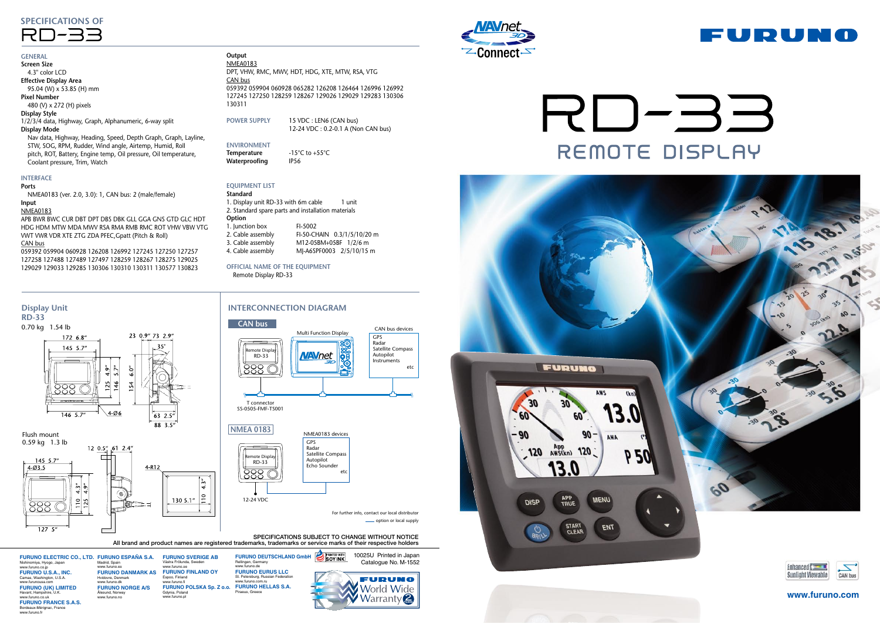## **SPECIFICATIONS OF RD-33**

#### **GENERAL**

**Screen** Size

4.3" color LCD **Effective Display Area** 

95.04 (W) x 53.85 (H) mm

**Pixel Number** 

480 (V) x 272 (H) pixels

**Display Style** 

1/2/3/4 data, Highway, Graph, Alphanumeric, 6-way split **Display Mode** 

Nav data, Highway, Heading, Speed, Depth Graph, Graph, Layline, STW, SOG, RPM, Rudder, Wind angle, Airtemp, Humid, Roll pitch, ROT, Battery, Engine temp, Oil pressure, Oil temperature, Coolant pressure, Trim, Watch

#### **Input NMEA0183**

RD-33

 $0.70$  kg  $1.54$  lb

172 6.8"

145 5.7"

<u> 288</u>

146 5.7

Flush mount  $0.59$  kg  $1.3$  lb

 $4-03.5$ 

145 5.7"

888 C

 $\overline{127}$  5'

APB BWR BWC CUR DBT DPT DBS DBK GLL GGA GNS GTD GLC HDT HDG HDM MTW MDA MWV RSA RMA RMB RMC ROT VHW VBW VTG VWT VWR VDR XTE ZTG ZDA PFEC, Gpatt (Pitch & Roll) CAN bus 059392 059904 060928 126208 126992 127245 127250 127257

127258 127488 127489 127497 128259 128267 128275 129025 130823 130577 130311 130310 130306 129285 129033 129029

#### **Output NMEA0183**

 $46$ 

 $4.06$ 

12  $0.5''$  61 2.4"

 $\Box$ 

 $54$ 

DPT, VHW, RMC, MWV, HDT, HDG, XTE, MTW, RSA, VTG CAN bus 059392 059904 060928 065282 126208 126464 126996 126992 130306 129283 129029 129026 128267 128259 127250 127245 130311

**POWER SUPPLY** 15 VDC : LEN6 (CAN bus)

12-24 VDC: 0.2-0.1 A (Non CAN bus)

**Standard** 1. Display unit RD-33 with 6m cable 1 unit 2. Standard spare parts and installation materials **Option** 1. Junction box FI-5002 2. Cable assembly  $F1-50-CHAIN$   $0.3/1/5/10/20 m$ 3. Cable assembly  $M12-05BM+05BF-1/2/6 m$ 4. Cable assembly MJ-A6SPF0003 2/5/10/15 m

#### **EXPECIAL NAME OF THE EQUIPMENT** Remote Display RD-33

#### **INTERFACE**

#### **Ports**

NMEA0183 (ver. 2.0, 3.0): 1, CAN bus: 2 (male/female)



All brand and product names are registered trademarks, trademarks or service marks of their respective holders

**FURUNO ELECTRIC CO., LTD. FURUNO ESPAÑA S.A.**<br>Nishinomiya, Hyogo, Japan Nishinomiya, Hyogo,<br>www.furuno.co.jp **FURUNO U.S.A., INC.** Camas, Washington, U.S.A. www.furunousa. www.furunousa.com<br>**FURUNO (UK) LIMITED** Havant Hampshire LLK www.furuno.co.uk **FURUNO FRANCE S.A.S.** Bordeaux-Mérignac, France<br>www.furuno.fr www.furuno.es Hvidovre, Denmar www.furuno.dk **FURUNO NORGE A/S** Ålesund Norw www.furuno.no

**FURUNO DANMARK AS FURUNO SVERIGE AB** Västra Frölunda, Sweden<br>www.furuno.se **FURUNO FINLAND OY** Espoo, Finland<br>www.furuno.fi **FURUNO POLSKA Sp. Z o.o.** 

Gdynia, Poland www.furuno.pl

Rellingen, Germany<br>www.furuno.de **FURUNO EURUS LLC** St. Petersburg, Russian Federatio www.furuno.com.ru<br>**FURUNO HELLAS S.A.** 

Piraeus, Greece

10025U Printed in Japan Catalogue No. M-1552





# RD-33 REMOTE DISPLAY



**SOY INK FURUNO DEUTSCHLAND GmbH** 

56IP **ngWaterproo** C+55° to C-15° **Temperature ENVIRONMENT**

#### **LEQUIPMENT LIST**

n





www.furuno.com